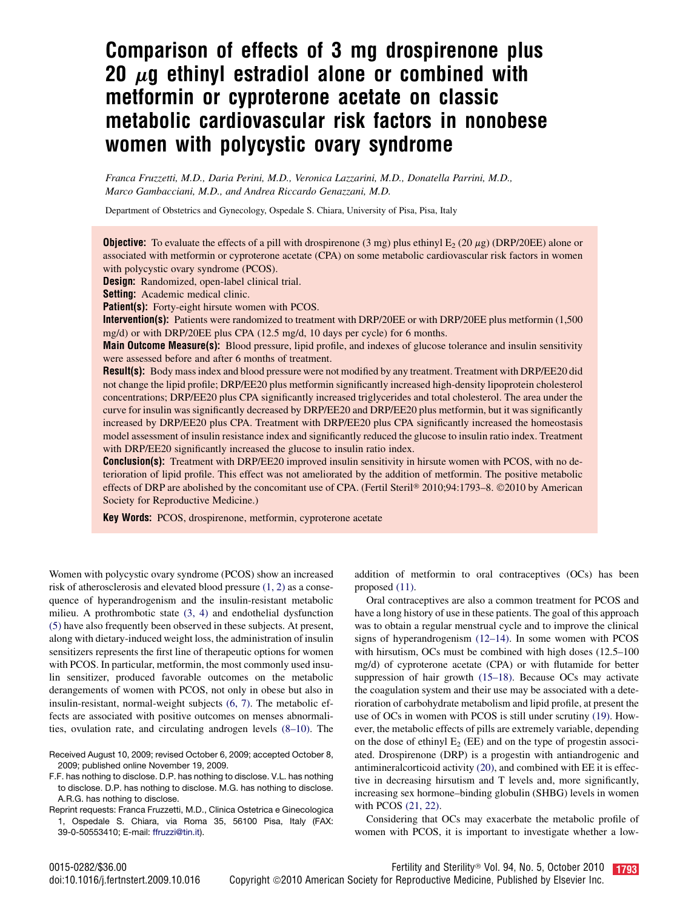# Comparison of effects of 3 mg drospirenone plus 20  $\mu$ g ethinyl estradiol alone or combined with metformin or cyproterone acetate on classic metabolic cardiovascular risk factors in nonobese women with polycystic ovary syndrome

Franca Fruzzetti, M.D., Daria Perini, M.D., Veronica Lazzarini, M.D., Donatella Parrini, M.D., Marco Gambacciani, M.D., and Andrea Riccardo Genazzani, M.D.

Department of Obstetrics and Gynecology, Ospedale S. Chiara, University of Pisa, Pisa, Italy

**Objective:** To evaluate the effects of a pill with drospirenone (3 mg) plus ethinyl  $E_2$  (20  $\mu$ g) (DRP/20EE) alone or associated with metformin or cyproterone acetate (CPA) on some metabolic cardiovascular risk factors in women with polycystic ovary syndrome (PCOS).

Design: Randomized, open-label clinical trial.

Setting: Academic medical clinic.

Patient(s): Forty-eight hirsute women with PCOS.

Intervention(s): Patients were randomized to treatment with DRP/20EE or with DRP/20EE plus metformin (1,500 mg/d) or with DRP/20EE plus CPA (12.5 mg/d, 10 days per cycle) for 6 months.

Main Outcome Measure(s): Blood pressure, lipid profile, and indexes of glucose tolerance and insulin sensitivity were assessed before and after 6 months of treatment.

Result(s): Body mass index and blood pressure were not modified by any treatment. Treatment with DRP/EE20 did not change the lipid profile; DRP/EE20 plus metformin significantly increased high-density lipoprotein cholesterol concentrations; DRP/EE20 plus CPA significantly increased triglycerides and total cholesterol. The area under the curve for insulin was significantly decreased by DRP/EE20 and DRP/EE20 plus metformin, but it was significantly increased by DRP/EE20 plus CPA. Treatment with DRP/EE20 plus CPA significantly increased the homeostasis model assessment of insulin resistance index and significantly reduced the glucose to insulin ratio index. Treatment with DRP/EE20 significantly increased the glucose to insulin ratio index.

**Conclusion(s):** Treatment with DRP/EE20 improved insulin sensitivity in hirsute women with PCOS, with no deterioration of lipid profile. This effect was not ameliorated by the addition of metformin. The positive metabolic effects of DRP are abolished by the concomitant use of CPA. (Fertil Steril® 2010;94:1793–8. ©2010 by American Society for Reproductive Medicine.)

Key Words: PCOS, drospirenone, metformin, cyproterone acetate

Women with polycystic ovary syndrome (PCOS) show an increased risk of atherosclerosis and elevated blood pressure [\(1, 2\)](#page-5-0) as a consequence of hyperandrogenism and the insulin-resistant metabolic milieu. A prothrombotic state [\(3, 4\)](#page-5-0) and endothelial dysfunction [\(5\)](#page-5-0) have also frequently been observed in these subjects. At present, along with dietary-induced weight loss, the administration of insulin sensitizers represents the first line of therapeutic options for women with PCOS. In particular, metformin, the most commonly used insulin sensitizer, produced favorable outcomes on the metabolic derangements of women with PCOS, not only in obese but also in insulin-resistant, normal-weight subjects [\(6, 7\).](#page-5-0) The metabolic effects are associated with positive outcomes on menses abnormalities, ovulation rate, and circulating androgen levels [\(8–10\).](#page-5-0) The

Received August 10, 2009; revised October 6, 2009; accepted October 8, 2009; published online November 19, 2009.

F.F. has nothing to disclose. D.P. has nothing to disclose. V.L. has nothing to disclose. D.P. has nothing to disclose. M.G. has nothing to disclose. A.R.G. has nothing to disclose.

Reprint requests: Franca Fruzzetti, M.D., Clinica Ostetrica e Ginecologica 1, Ospedale S. Chiara, via Roma 35, 56100 Pisa, Italy (FAX: 39-0-50553410; E-mail: [ffruzzi@tin.it](mailto:ffruzzi@tin.it)).

addition of metformin to oral contraceptives (OCs) has been proposed [\(11\)](#page-5-0).

Oral contraceptives are also a common treatment for PCOS and have a long history of use in these patients. The goal of this approach was to obtain a regular menstrual cycle and to improve the clinical signs of hyperandrogenism [\(12–14\)](#page-5-0). In some women with PCOS with hirsutism, OCs must be combined with high doses (12.5–100 mg/d) of cyproterone acetate (CPA) or with flutamide for better suppression of hair growth [\(15–18\).](#page-5-0) Because OCs may activate the coagulation system and their use may be associated with a deterioration of carbohydrate metabolism and lipid profile, at present the use of OCs in women with PCOS is still under scrutiny [\(19\)](#page-5-0). However, the metabolic effects of pills are extremely variable, depending on the dose of ethinyl  $E<sub>2</sub>$  (EE) and on the type of progestin associated. Drospirenone (DRP) is a progestin with antiandrogenic and antimineralcorticoid activity [\(20\),](#page-5-0) and combined with EE it is effective in decreasing hirsutism and T levels and, more significantly, increasing sex hormone–binding globulin (SHBG) levels in women with PCOS [\(21, 22\).](#page-5-0)

Considering that OCs may exacerbate the metabolic profile of women with PCOS, it is important to investigate whether a low-

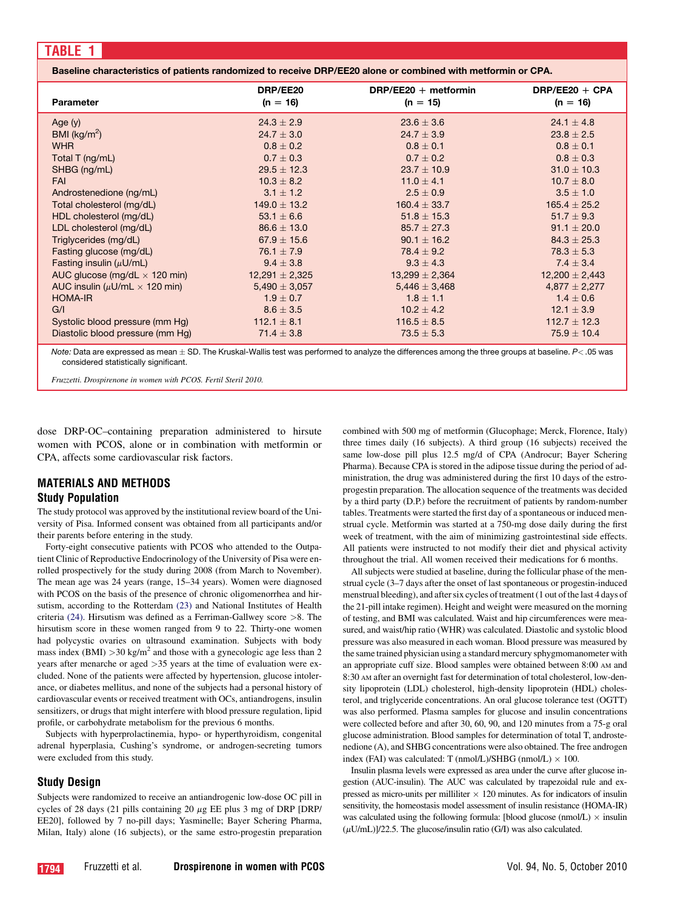<span id="page-1-0"></span>

| Parameter                                  | DRP/EE20<br>$(n = 16)$ | DRP/EE20 $+$ metformin<br>$(n = 15)$ | DRP/EE20 $+$ CPA<br>$(n = 16)$ |
|--------------------------------------------|------------------------|--------------------------------------|--------------------------------|
| Age $(y)$                                  | $24.3 \pm 2.9$         | $23.6 \pm 3.6$                       | 24.1 $\pm$ 4.8                 |
| BMI ( $kg/m2$ )                            | $24.7 \pm 3.0$         | $24.7 \pm 3.9$                       | $23.8 \pm 2.5$                 |
| <b>WHR</b>                                 | $0.8 \pm 0.2$          | $0.8 \pm 0.1$                        | $0.8 \pm 0.1$                  |
| Total T (ng/mL)                            | $0.7 \pm 0.3$          | $0.7 + 0.2$                          | $0.8 \pm 0.3$                  |
| SHBG (ng/mL)                               | $29.5 \pm 12.3$        | $23.7 \pm 10.9$                      | $31.0 \pm 10.3$                |
| <b>FAI</b>                                 | $10.3 \pm 8.2$         | 11.0 $\pm$ 4.1                       | $10.7 \pm 8.0$                 |
| Androstenedione (ng/mL)                    | $3.1 \pm 1.2$          | $2.5 \pm 0.9$                        | $3.5 \pm 1.0$                  |
| Total cholesterol (mg/dL)                  | $149.0 \pm 13.2$       | $160.4 \pm 33.7$                     | $165.4 \pm 25.2$               |
| HDL cholesterol (mg/dL)                    | 53.1 $\pm$ 6.6         | $51.8 \pm 15.3$                      | $51.7 \pm 9.3$                 |
| LDL cholesterol (mg/dL)                    | $86.6 \pm 13.0$        | $85.7 \pm 27.3$                      | $91.1 \pm 20.0$                |
| Triglycerides (mg/dL)                      | $67.9 \pm 15.6$        | $90.1 \pm 16.2$                      | $84.3 \pm 25.3$                |
| Fasting glucose (mg/dL)                    | 76.1 $\pm$ 7.9         | $78.4 \pm 9.2$                       | $78.3 \pm 5.3$                 |
| Fasting insulin $(\mu U/mL)$               | $9.4 \pm 3.8$          | $9.3 \pm 4.3$                        | $7.4 \pm 3.4$                  |
| AUC glucose (mg/dL $\times$ 120 min)       | $12,291 \pm 2,325$     | $13,299 \pm 2,364$                   | $12,200 \pm 2,443$             |
| AUC insulin ( $\mu$ U/mL $\times$ 120 min) | $5,490 \pm 3,057$      | $5,446 \pm 3,468$                    | $4,877 \pm 2,277$              |
| <b>HOMA-IR</b>                             | $1.9 \pm 0.7$          | $1.8 \pm 1.1$                        | $1.4 \pm 0.6$                  |
| G/I                                        | $8.6 \pm 3.5$          | $10.2 \pm 4.2$                       | $12.1 \pm 3.9$                 |
| Systolic blood pressure (mm Hg)            | 112.1 $\pm$ 8.1        | $116.5 \pm 8.5$                      | $112.7 \pm 12.3$               |
| Diastolic blood pressure (mm Hq)           | $71.4 \pm 3.8$         | $73.5 \pm 5.3$                       | $75.9 \pm 10.4$                |

*Note:* Data are expressed as mean  $\pm$  SD. The Kruskal-Wallis test was performed to analyze the differences among the three groups at baseline. *P*< 05 was considered statistically significant.

Fruzzetti. Drospirenone in women with PCOS. Fertil Steril 2010.

dose DRP-OC–containing preparation administered to hirsute women with PCOS, alone or in combination with metformin or CPA, affects some cardiovascular risk factors.

## MATERIALS AND METHODS Study Population

The study protocol was approved by the institutional review board of the University of Pisa. Informed consent was obtained from all participants and/or their parents before entering in the study.

Forty-eight consecutive patients with PCOS who attended to the Outpatient Clinic of Reproductive Endocrinology of the University of Pisa were enrolled prospectively for the study during 2008 (from March to November). The mean age was 24 years (range, 15–34 years). Women were diagnosed with PCOS on the basis of the presence of chronic oligomenorrhea and hirsutism, according to the Rotterdam [\(23\)](#page-5-0) and National Institutes of Health criteria [\(24\)](#page-5-0). Hirsutism was defined as a Ferriman-Gallwey score >8. The hirsutism score in these women ranged from 9 to 22. Thirty-one women had polycystic ovaries on ultrasound examination. Subjects with body mass index (BMI)  $>30$  kg/m<sup>2</sup> and those with a gynecologic age less than 2 years after menarche or aged >35 years at the time of evaluation were excluded. None of the patients were affected by hypertension, glucose intolerance, or diabetes mellitus, and none of the subjects had a personal history of cardiovascular events or received treatment with OCs, antiandrogens, insulin sensitizers, or drugs that might interfere with blood pressure regulation, lipid profile, or carbohydrate metabolism for the previous 6 months.

Subjects with hyperprolactinemia, hypo- or hyperthyroidism, congenital adrenal hyperplasia, Cushing's syndrome, or androgen-secreting tumors were excluded from this study.

#### Study Design

Subjects were randomized to receive an antiandrogenic low-dose OC pill in cycles of 28 days (21 pills containing 20  $\mu$ g EE plus 3 mg of DRP [DRP/ EE20], followed by 7 no-pill days; Yasminelle; Bayer Schering Pharma, Milan, Italy) alone (16 subjects), or the same estro-progestin preparation combined with 500 mg of metformin (Glucophage; Merck, Florence, Italy) three times daily (16 subjects). A third group (16 subjects) received the same low-dose pill plus 12.5 mg/d of CPA (Androcur; Bayer Schering Pharma). Because CPA is stored in the adipose tissue during the period of administration, the drug was administered during the first 10 days of the estroprogestin preparation. The allocation sequence of the treatments was decided by a third party (D.P.) before the recruitment of patients by random-number tables. Treatments were started the first day of a spontaneous or induced menstrual cycle. Metformin was started at a 750-mg dose daily during the first week of treatment, with the aim of minimizing gastrointestinal side effects. All patients were instructed to not modify their diet and physical activity throughout the trial. All women received their medications for 6 months.

All subjects were studied at baseline, during the follicular phase of the menstrual cycle (3–7 days after the onset of last spontaneous or progestin-induced menstrual bleeding), and after six cycles of treatment (1 out of the last 4 days of the 21-pill intake regimen). Height and weight were measured on the morning of testing, and BMI was calculated. Waist and hip circumferences were measured, and waist/hip ratio (WHR) was calculated. Diastolic and systolic blood pressure was also measured in each woman. Blood pressure was measured by the same trained physician using a standard mercury sphygmomanometer with an appropriate cuff size. Blood samples were obtained between 8:00 AM and 8:30 AM after an overnight fast for determination of total cholesterol, low-density lipoprotein (LDL) cholesterol, high-density lipoprotein (HDL) cholesterol, and triglyceride concentrations. An oral glucose tolerance test (OGTT) was also performed. Plasma samples for glucose and insulin concentrations were collected before and after 30, 60, 90, and 120 minutes from a 75-g oral glucose administration. Blood samples for determination of total T, androstenedione (A), and SHBG concentrations were also obtained. The free androgen index (FAI) was calculated: T  $(mmol/L)/SHBG$   $(mmol/L) \times 100$ .

Insulin plasma levels were expressed as area under the curve after glucose ingestion (AUC-insulin). The AUC was calculated by trapezoidal rule and expressed as micro-units per milliliter  $\times$  120 minutes. As for indicators of insulin sensitivity, the homeostasis model assessment of insulin resistance (HOMA-IR) was calculated using the following formula: [blood glucose (nmol/L)  $\times$  insulin  $(\mu U/mL)$ ]/22.5. The glucose/insulin ratio (G/I) was also calculated.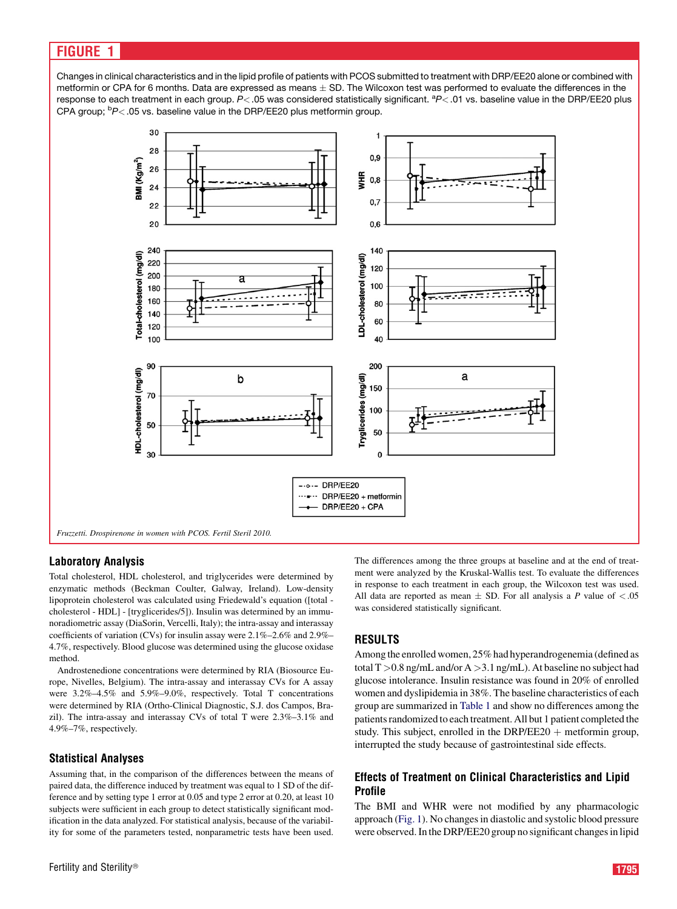# <span id="page-2-0"></span>**FIGURE**

Changes in clinical characteristics and in the lipid profile of patients with PCOS submitted to treatment with DRP/EE20 alone or combined with metformin or CPA for 6 months. Data are expressed as means  $\pm$  SD. The Wilcoxon test was performed to evaluate the differences in the response to each treatment in each group. P< .05 was considered statistically significant. <sup>a</sup>P< .01 vs. baseline value in the DRP/EE20 plus CPA group; <sup>b</sup>P<.05 vs. baseline value in the DRP/EE20 plus metformin group.



### Laboratory Analysis

Total cholesterol, HDL cholesterol, and triglycerides were determined by enzymatic methods (Beckman Coulter, Galway, Ireland). Low-density lipoprotein cholesterol was calculated using Friedewald's equation ([total cholesterol - HDL] - [tryglicerides/5]). Insulin was determined by an immunoradiometric assay (DiaSorin, Vercelli, Italy); the intra-assay and interassay coefficients of variation (CVs) for insulin assay were 2.1%–2.6% and 2.9%– 4.7%, respectively. Blood glucose was determined using the glucose oxidase method.

Androstenedione concentrations were determined by RIA (Biosource Europe, Nivelles, Belgium). The intra-assay and interassay CVs for A assay were 3.2%–4.5% and 5.9%–9.0%, respectively. Total T concentrations were determined by RIA (Ortho-Clinical Diagnostic, S.J. dos Campos, Brazil). The intra-assay and interassay CVs of total T were 2.3%–3.1% and 4.9%–7%, respectively.

### Statistical Analyses

Assuming that, in the comparison of the differences between the means of paired data, the difference induced by treatment was equal to 1 SD of the difference and by setting type 1 error at 0.05 and type 2 error at 0.20, at least 10 subjects were sufficient in each group to detect statistically significant modification in the data analyzed. For statistical analysis, because of the variability for some of the parameters tested, nonparametric tests have been used. The differences among the three groups at baseline and at the end of treatment were analyzed by the Kruskal-Wallis test. To evaluate the differences in response to each treatment in each group, the Wilcoxon test was used. All data are reported as mean  $\pm$  SD. For all analysis a P value of <.05 was considered statistically significant.

## RESULTS

Among the enrolled women, 25% had hyperandrogenemia (defined as total T >0.8 ng/mL and/or A >3.1 ng/mL). At baseline no subject had glucose intolerance. Insulin resistance was found in 20% of enrolled women and dyslipidemia in 38%. The baseline characteristics of each group are summarized in [Table 1](#page-1-0) and show no differences among the patients randomized to each treatment. All but 1 patient completed the study. This subject, enrolled in the DRP/EE20  $+$  metformin group, interrupted the study because of gastrointestinal side effects.

### Effects of Treatment on Clinical Characteristics and Lipid Profile

The BMI and WHR were not modified by any pharmacologic approach (Fig. 1). No changes in diastolic and systolic blood pressure were observed. In the DRP/EE20 group no significant changes in lipid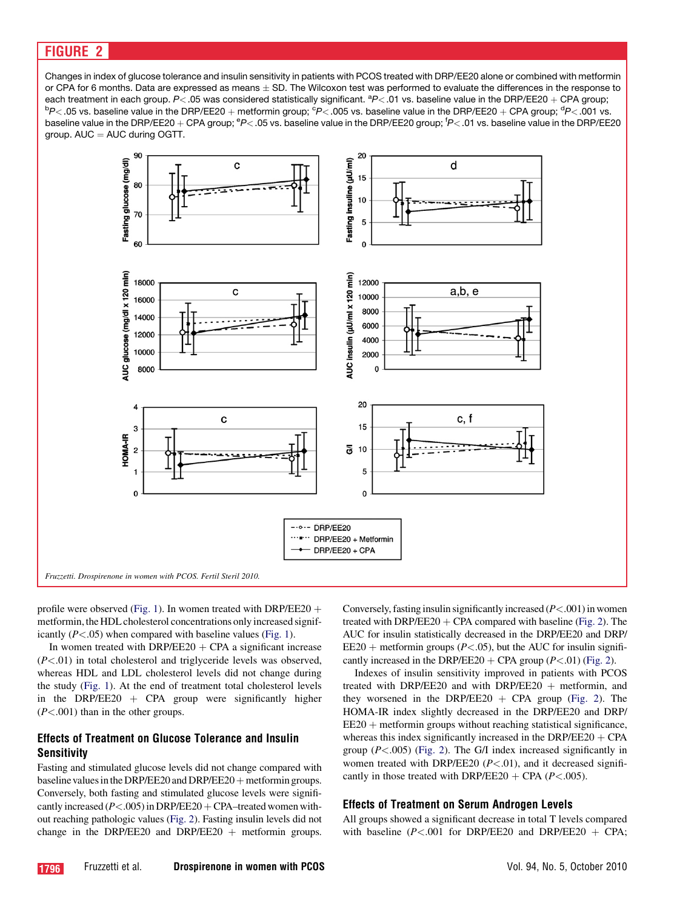# FIGURE 2

Changes in index of glucose tolerance and insulin sensitivity in patients with PCOS treated with DRP/EE20 alone or combined with metformin or CPA for 6 months. Data are expressed as means  $\pm$  SD. The Wilcoxon test was performed to evaluate the differences in the response to each treatment in each group. *P<*.05 was considered statistically significant. <sup>a</sup>*P<*.01 vs. baseline value in the DRP/EE20 + CPA group;  ${}^{6}P$   $>$  005 vs. baseline value in the DRP/EE20 + CPA group;  ${}^{6}P$   $>$  001 vs. P<.05 vs. baseline value in the DRP/EE20 + metformin group; <sup>c</sup>P<.005 vs. baseline value in the DRP/EE20 + CPA group; <sup>d</sup>P<.001 vs. baseline value in the DRP/EE20 + CPA group; <sup>e</sup>P< .05 vs. baseline value in the DRP/EE20 group; <sup>f</sup>P< .01 vs. baseline value in the DRP/EE20 group.  $AUC = AUC$  during OGTT.



profile were observed [\(Fig. 1\)](#page-2-0). In women treated with DRP/EE20  $+$ metformin, the HDL cholesterol concentrations only increased significantly  $(P<.05)$  when compared with baseline values ([Fig. 1\)](#page-2-0).

In women treated with DRP/EE20  $+$  CPA a significant increase  $(P<.01)$  in total cholesterol and triglyceride levels was observed, whereas HDL and LDL cholesterol levels did not change during the study [\(Fig. 1](#page-2-0)). At the end of treatment total cholesterol levels in the DRP/EE20  $+$  CPA group were significantly higher  $(P<.001)$  than in the other groups.

## Effects of Treatment on Glucose Tolerance and Insulin Sensitivity

Fasting and stimulated glucose levels did not change compared with baseline values in the DRP/EE20 and DRP/EE20 + metformin groups. Conversely, both fasting and stimulated glucose levels were significantly increased ( $P < .005$ ) in DRP/EE20 + CPA–treated women without reaching pathologic values (Fig. 2). Fasting insulin levels did not change in the DRP/EE20 and DRP/EE20  $+$  metformin groups.

Conversely, fasting insulin significantly increased  $(P<.001)$  in women treated with DRP/EE20  $+$  CPA compared with baseline (Fig. 2). The AUC for insulin statistically decreased in the DRP/EE20 and DRP/  $EE20 + \text{metformin groups } (P < 05)$ , but the AUC for insulin significantly increased in the DRP/EE20 + CPA group  $(P<.01)$  (Fig. 2).

Indexes of insulin sensitivity improved in patients with PCOS treated with DRP/EE20 and with DRP/EE20  $+$  metformin, and they worsened in the DRP/EE20  $+$  CPA group (Fig. 2). The HOMA-IR index slightly decreased in the DRP/EE20 and DRP/  $EE20 + metformin groups without reaching statistical significance,$ whereas this index significantly increased in the DRP/EE20  $+$  CPA group  $(P<.005)$  (Fig. 2). The G/I index increased significantly in women treated with DRP/EE20  $(P<.01)$ , and it decreased significantly in those treated with DRP/EE20 + CPA ( $P < .005$ ).

#### Effects of Treatment on Serum Androgen Levels

All groups showed a significant decrease in total T levels compared with baseline ( $P < .001$  for DRP/EE20 and DRP/EE20 + CPA;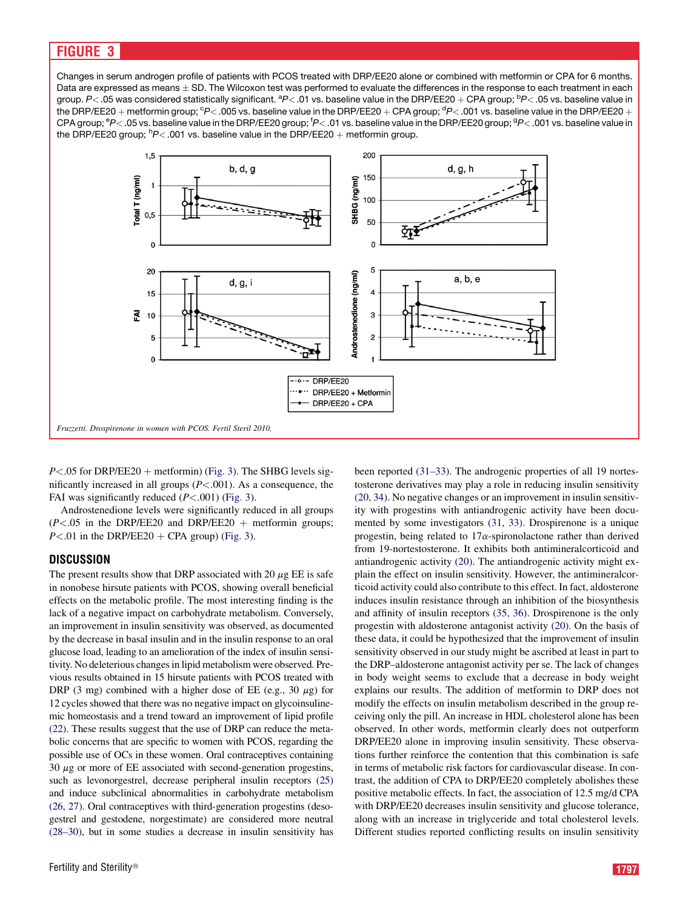## FIGURE 3

Changes in serum androgen profile of patients with PCOS treated with DRP/EE20 alone or combined with metformin or CPA for 6 months. Data are expressed as means  $\pm$  SD. The Wilcoxon test was performed to evaluate the differences in the response to each treatment in each group. *P<* .05 was considered statistically significant. <sup>a</sup>P< .01 vs. baseline value in the DRP/EE20  $+$  CPA group; <sup>b</sup>P< .05 vs. baseline value in the DRP/EE20  $+$  metformin group; <sup>c</sup>P< .005 vs. baseline value in the DRP/EE20  $+$  CPA group; <sup>d</sup>P< .001 vs. baseline value in the DRP/EE20  $+$ CPA group; <sup>e</sup>P<.05 vs. baseline value in the DRP/EE20 group; <sup>f</sup>P<.01 vs. baseline value in the DRP/EE20 group; <sup>g</sup>P<.001 vs. baseline value in the DRP/EE20 group; <sup>h</sup>P< 001 vs. baseline value in the DRP/EE20 + metformin group.



 $P<.05$  for DRP/EE20 + metformin) (Fig. 3). The SHBG levels significantly increased in all groups  $(P < 0.001)$ . As a consequence, the FAI was significantly reduced  $(P < 001)$  (Fig. 3).

Androstenedione levels were significantly reduced in all groups  $(P<.05$  in the DRP/EE20 and DRP/EE20 + metformin groups;  $P < 01$  in the DRP/EE20 + CPA group) (Fig. 3).

#### **DISCUSSION**

The present results show that DRP associated with 20  $\mu$ g EE is safe in nonobese hirsute patients with PCOS, showing overall beneficial effects on the metabolic profile. The most interesting finding is the lack of a negative impact on carbohydrate metabolism. Conversely, an improvement in insulin sensitivity was observed, as documented by the decrease in basal insulin and in the insulin response to an oral glucose load, leading to an amelioration of the index of insulin sensitivity. No deleterious changes in lipid metabolism were observed. Previous results obtained in 15 hirsute patients with PCOS treated with DRP (3 mg) combined with a higher dose of EE (e.g., 30  $\mu$ g) for 12 cycles showed that there was no negative impact on glycoinsulinemic homeostasis and a trend toward an improvement of lipid profile [\(22\)](#page-5-0). These results suggest that the use of DRP can reduce the metabolic concerns that are specific to women with PCOS, regarding the possible use of OCs in these women. Oral contraceptives containing  $30 \mu$ g or more of EE associated with second-generation progestins, such as levonorgestrel, decrease peripheral insulin receptors [\(25\)](#page-5-0) and induce subclinical abnormalities in carbohydrate metabolism [\(26, 27\).](#page-5-0) Oral contraceptives with third-generation progestins (desogestrel and gestodene, norgestimate) are considered more neutral [\(28–30\),](#page-5-0) but in some studies a decrease in insulin sensitivity has been reported [\(31–33\).](#page-5-0) The androgenic properties of all 19 nortestosterone derivatives may play a role in reducing insulin sensitivity [\(20, 34\).](#page-5-0) No negative changes or an improvement in insulin sensitivity with progestins with antiandrogenic activity have been documented by some investigators [\(31, 33\).](#page-5-0) Drospirenone is a unique progestin, being related to  $17\alpha$ -spironolactone rather than derived from 19-nortestosterone. It exhibits both antimineralcorticoid and antiandrogenic activity [\(20\)](#page-5-0). The antiandrogenic activity might explain the effect on insulin sensitivity. However, the antimineralcorticoid activity could also contribute to this effect. In fact, aldosterone induces insulin resistance through an inhibition of the biosynthesis and affinity of insulin receptors [\(35, 36\).](#page-5-0) Drospirenone is the only progestin with aldosterone antagonist activity [\(20\)](#page-5-0). On the basis of these data, it could be hypothesized that the improvement of insulin sensitivity observed in our study might be ascribed at least in part to the DRP–aldosterone antagonist activity per se. The lack of changes in body weight seems to exclude that a decrease in body weight explains our results. The addition of metformin to DRP does not modify the effects on insulin metabolism described in the group receiving only the pill. An increase in HDL cholesterol alone has been observed. In other words, metformin clearly does not outperform DRP/EE20 alone in improving insulin sensitivity. These observations further reinforce the contention that this combination is safe in terms of metabolic risk factors for cardiovascular disease. In contrast, the addition of CPA to DRP/EE20 completely abolishes these positive metabolic effects. In fact, the association of 12.5 mg/d CPA with DRP/EE20 decreases insulin sensitivity and glucose tolerance, along with an increase in triglyceride and total cholesterol levels. Different studies reported conflicting results on insulin sensitivity